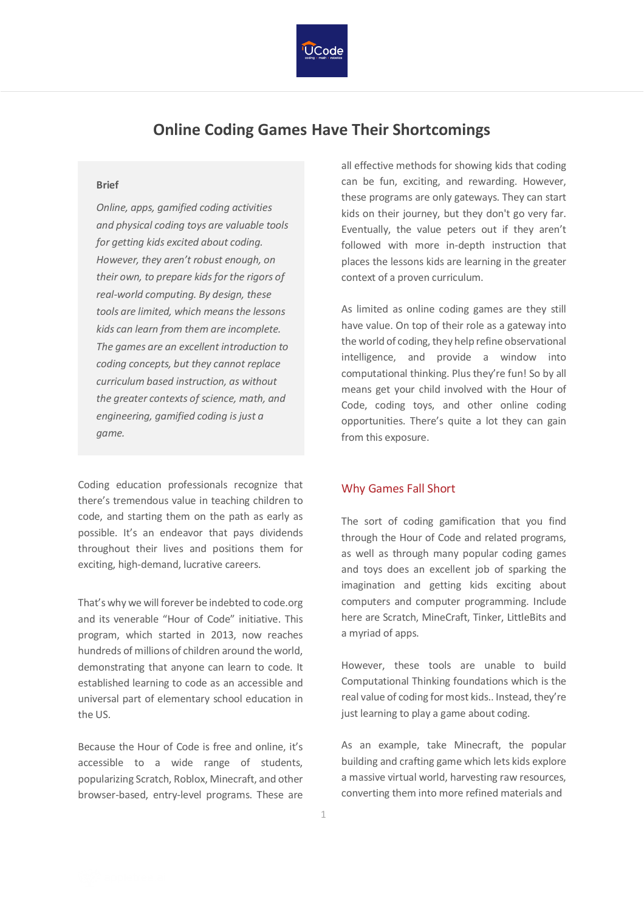

## **Online Coding Games Have Their Shortcomings**

## **Brief**

*Online, apps, gamified coding activities and physical coding toys are valuable tools for getting kids excited about coding. However, they aren't robust enough, on their own, to prepare kids for the rigors of real-world computing. By design, these tools are limited, which means the lessons kids can learn from them are incomplete. The games are an excellent introduction to coding concepts, but they cannot replace curriculum based instruction, as without the greater contexts of science, math, and engineering, gamified coding is just a game.*

Coding education professionals recognize that there's tremendous value in teaching children to code, and starting them on the path as early as possible. It's an endeavor that pays dividends throughout their lives and positions them for exciting, high-demand, lucrative careers.

That's why we will forever be indebted to code.org and its venerable "Hour of Code" initiative. This program, which started in 2013, now reaches hundreds of millions of children around the world, demonstrating that anyone can learn to code. It established learning to code as an accessible and universal part of elementary school education in the US.

Because the Hour of Code is free and online, it's accessible to a wide range of students, popularizing Scratch, Roblox, Minecraft, and other browser-based, entry-level programs. These are all effective methods for showing kids that coding can be fun, exciting, and rewarding. However, these programs are only gateways. They can start kids on their journey, but they don't go very far. Eventually, the value peters out if they aren't followed with more in-depth instruction that places the lessons kids are learning in the greater context of a proven curriculum.

As limited as online coding games are they still have value. On top of their role as a gateway into the world of coding, they help refine observational intelligence, and provide a window into computational thinking. Plus they're fun! So by all means get your child involved with the Hour of Code, coding toys, and other online coding opportunities. There's quite a lot they can gain from this exposure.

## Why Games Fall Short

The sort of coding gamification that you find through the Hour of Code and related programs, as well as through many popular coding games and toys does an excellent job of sparking the imagination and getting kids exciting about computers and computer programming. Include here are Scratch, MineCraft, Tinker, LittleBits and a myriad of apps.

However, these tools are unable to build Computational Thinking foundations which is the real value of coding for most kids.. Instead, they're just learning to play a game about coding.

As an example, take Minecraft, the popular building and crafting game which lets kids explore a massive virtual world, harvesting raw resources, converting them into more refined materials and